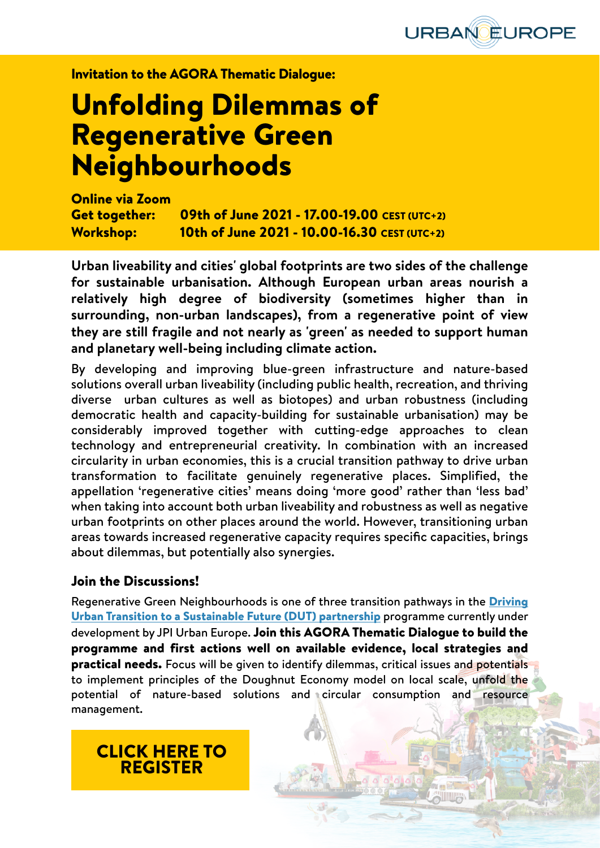

Invitation to the AGORA Thematic Dialogue:

# Unfolding Dilemmas of Regenerative Green Neighbourhoods

Online via Zoom Get together: 09th of June 2021 - 17.00-19.00 CEST (UTC+2) Workshop: 10th of June 2021 - 10.00-16.30 CEST (UTC+2)

**Urban liveability and cities' global footprints are two sides of the challenge for sustainable urbanisation. Although European urban areas nourish a relatively high degree of biodiversity (sometimes higher than in surrounding, non-urban landscapes), from a regenerative point of view they are still fragile and not nearly as 'green' as needed to support human and planetary well-being including climate action.**

By developing and improving blue-green infrastructure and nature-based solutions overall urban liveability (including public health, recreation, and thriving diverse urban cultures as well as biotopes) and urban robustness (including democratic health and capacity-building for sustainable urbanisation) may be considerably improved together with cutting-edge approaches to clean technology and entrepreneurial creativity. In combination with an increased circularity in urban economies, this is a crucial transition pathway to drive urban transformation to facilitate genuinely regenerative places. Simplified, the appellation 'regenerative cities' means doing 'more good' rather than 'less bad' when taking into account both urban liveability and robustness as well as negative urban footprints on other places around the world. However, transitioning urban areas towards increased regenerative capacity requires specific capacities, brings about dilemmas, but potentially also synergies.

#### Join the Discussions!

Regenerative Green Neighbourhoods is one of three transition pathways in the [Driving](https://jpi-urbaneurope.eu/driving-urban-transitions-to-a-sustainable-future-dut/) [Urban Transition to a Sustainable Future \(DUT\) partnership](https://jpi-urbaneurope.eu/driving-urban-transitions-to-a-sustainable-future-dut/) programme currently under development by JPI Urban Europe. Join this AGORA Thematic Dialogue to build the programme and first actions well on available evidence, local strategies and practical needs. Focus will be given to identify dilemmas, critical issues and potentials to implement principles of the Doughnut Economy model on local scale, unfold the potential of nature-based solutions and circular consumption and resource management.

## [CLICK HERE TO](https://jpi-urbaneurope.eu/event-calendar/agora-thematic-dialogue-unfolding-dilemmas-of-regenerative-green-neighbourhoods-invitation-only/) [REGISTER](https://jpi-urbaneurope.eu/event-calendar/agora-thematic-dialogue-unfolding-dilemmas-of-regenerative-green-neighbourhoods-invitation-only/)